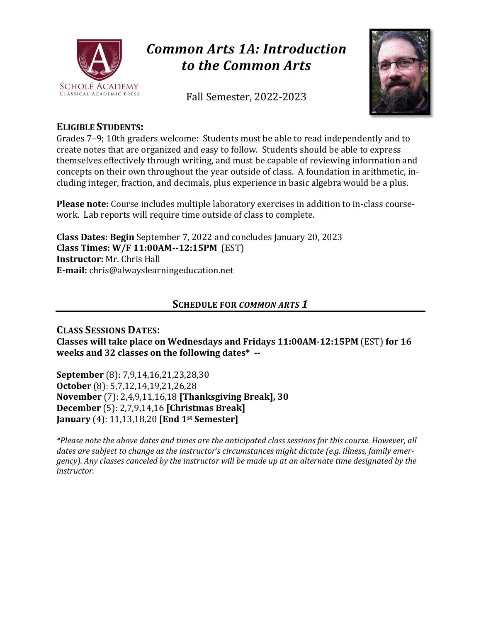

# *Common Arts 1A: Introduction to the Common Arts*

Fall Semester, 2022-2023



# **ELIGIBLE STUDENTS:**

Grades 7–9; 10th graders welcome: Students must be able to read independently and to create notes that are organized and easy to follow. Students should be able to express themselves effectively through writing, and must be capable of reviewing information and concepts on their own throughout the year outside of class. A foundation in arithmetic, including integer, fraction, and decimals, plus experience in basic algebra would be a plus.

**Please note:** Course includes multiple laboratory exercises in addition to in-class coursework. Lab reports will require time outside of class to complete.

**Class Dates: Begin** September 7, 2022 and concludes January 20, 2023 **Class Times: W/F 11:00AM--12:15PM** (EST) **Instructor:** Mr. Chris Hall **E-mail:** chris@alwayslearningeducation.net

#### **SCHEDULE FOR** *COMMON ARTS 1*

**CLASS SESSIONS DATES: Classes will take place on Wednesdays and Fridays 11:00AM-12:15PM** (EST) **for 16 weeks and 32 classes on the following dates\* --**

**September** (8): 7,9,14,16,21,23,28,30 **October** (8): 5,7,12,14,19,21,26,28 **November** (7): 2,4,9,11,16,18 **[Thanksgiving Break], 30 December** (5): 2,7,9,14,16 **[Christmas Break] January** (4): 11,13,18,20 **[End 1st Semester]**

*\*Please note the above dates and times are the anticipated class sessions for this course. However, all dates are subject to change as the instructor's circumstances might dictate (e.g. illness, family emer*gency). Any classes canceled by the instructor will be made up at an alternate time designated by the *instructor.*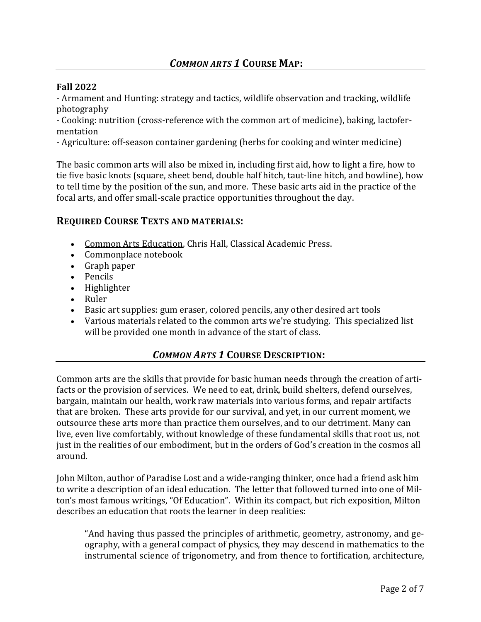#### **Fall 2022**

- Armament and Hunting: strategy and tactics, wildlife observation and tracking, wildlife photography

- Cooking: nutrition (cross-reference with the common art of medicine), baking, lactofermentation

- Agriculture: off-season container gardening (herbs for cooking and winter medicine)

The basic common arts will also be mixed in, including first aid, how to light a fire, how to tie five basic knots (square, sheet bend, double half hitch, taut-line hitch, and bowline), how to tell time by the position of the sun, and more. These basic arts aid in the practice of the focal arts, and offer small-scale practice opportunities throughout the day.

#### **REQUIRED COURSE TEXTS AND MATERIALS:**

- Common Arts Education, Chris Hall, Classical Academic Press.
- Commonplace notebook
- Graph paper
- Pencils
- Highlighter
- Ruler
- Basic art supplies: gum eraser, colored pencils, any other desired art tools
- Various materials related to the common arts we're studying. This specialized list will be provided one month in advance of the start of class.

#### *COMMON ARTS 1* **COURSE DESCRIPTION:**

Common arts are the skills that provide for basic human needs through the creation of artifacts or the provision of services. We need to eat, drink, build shelters, defend ourselves, bargain, maintain our health, work raw materials into various forms, and repair artifacts that are broken. These arts provide for our survival, and yet, in our current moment, we outsource these arts more than practice them ourselves, and to our detriment. Many can live, even live comfortably, without knowledge of these fundamental skills that root us, not just in the realities of our embodiment, but in the orders of God's creation in the cosmos all around.

John Milton, author of Paradise Lost and a wide-ranging thinker, once had a friend ask him to write a description of an ideal education. The letter that followed turned into one of Milton's most famous writings, "Of Education". Within its compact, but rich exposition, Milton describes an education that roots the learner in deep realities:

"And having thus passed the principles of arithmetic, geometry, astronomy, and geography, with a general compact of physics, they may descend in mathematics to the instrumental science of trigonometry, and from thence to fortification, architecture,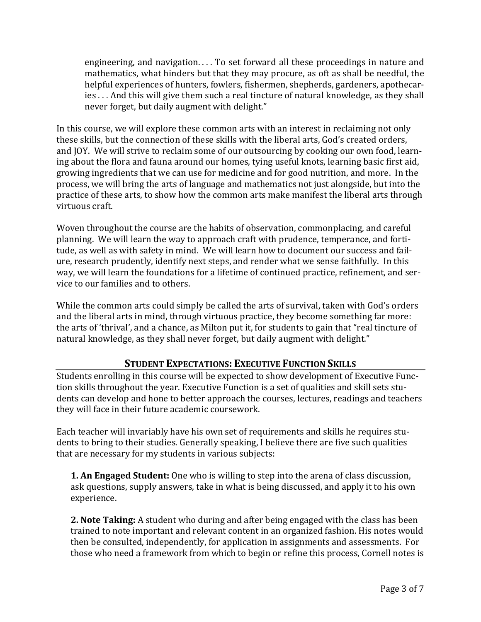engineering, and navigation. . . . To set forward all these proceedings in nature and mathematics, what hinders but that they may procure, as oft as shall be needful, the helpful experiences of hunters, fowlers, fishermen, shepherds, gardeners, apothecaries . . . And this will give them such a real tincture of natural knowledge, as they shall never forget, but daily augment with delight."

In this course, we will explore these common arts with an interest in reclaiming not only these skills, but the connection of these skills with the liberal arts, God's created orders, and JOY. We will strive to reclaim some of our outsourcing by cooking our own food, learning about the flora and fauna around our homes, tying useful knots, learning basic first aid, growing ingredients that we can use for medicine and for good nutrition, and more. In the process, we will bring the arts of language and mathematics not just alongside, but into the practice of these arts, to show how the common arts make manifest the liberal arts through virtuous craft.

Woven throughout the course are the habits of observation, commonplacing, and careful planning. We will learn the way to approach craft with prudence, temperance, and fortitude, as well as with safety in mind. We will learn how to document our success and failure, research prudently, identify next steps, and render what we sense faithfully. In this way, we will learn the foundations for a lifetime of continued practice, refinement, and service to our families and to others.

While the common arts could simply be called the arts of survival, taken with God's orders and the liberal arts in mind, through virtuous practice, they become something far more: the arts of 'thrival', and a chance, as Milton put it, for students to gain that "real tincture of natural knowledge, as they shall never forget, but daily augment with delight."

#### **STUDENT EXPECTATIONS: EXECUTIVE FUNCTION SKILLS**

Students enrolling in this course will be expected to show development of Executive Function skills throughout the year. Executive Function is a set of qualities and skill sets students can develop and hone to better approach the courses, lectures, readings and teachers they will face in their future academic coursework.

Each teacher will invariably have his own set of requirements and skills he requires students to bring to their studies. Generally speaking, I believe there are five such qualities that are necessary for my students in various subjects:

**1. An Engaged Student:** One who is willing to step into the arena of class discussion, ask questions, supply answers, take in what is being discussed, and apply it to his own experience.

**2. Note Taking:** A student who during and after being engaged with the class has been trained to note important and relevant content in an organized fashion. His notes would then be consulted, independently, for application in assignments and assessments. For those who need a framework from which to begin or refine this process, Cornell notes is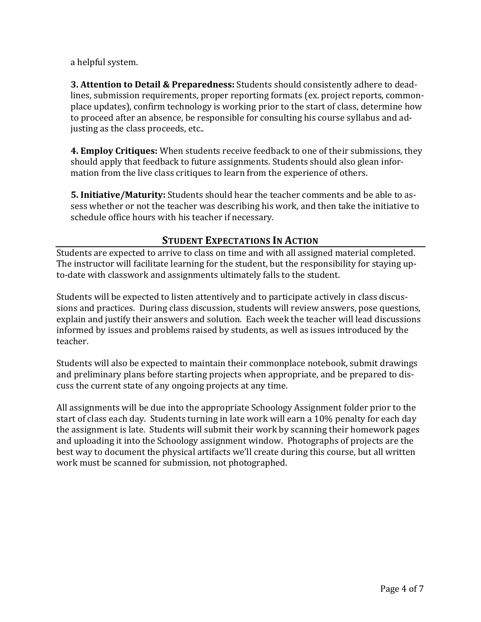a helpful system.

**3. Attention to Detail & Preparedness:** Students should consistently adhere to deadlines, submission requirements, proper reporting formats (ex. project reports, commonplace updates), confirm technology is working prior to the start of class, determine how to proceed after an absence, be responsible for consulting his course syllabus and adjusting as the class proceeds, etc..

**4. Employ Critiques:** When students receive feedback to one of their submissions, they should apply that feedback to future assignments. Students should also glean information from the live class critiques to learn from the experience of others.

**5. Initiative/Maturity:** Students should hear the teacher comments and be able to assess whether or not the teacher was describing his work, and then take the initiative to schedule office hours with his teacher if necessary.

## **STUDENT EXPECTATIONS IN ACTION**

Students are expected to arrive to class on time and with all assigned material completed. The instructor will facilitate learning for the student, but the responsibility for staying upto-date with classwork and assignments ultimately falls to the student.

Students will be expected to listen attentively and to participate actively in class discussions and practices. During class discussion, students will review answers, pose questions, explain and justify their answers and solution. Each week the teacher will lead discussions informed by issues and problems raised by students, as well as issues introduced by the teacher.

Students will also be expected to maintain their commonplace notebook, submit drawings and preliminary plans before starting projects when appropriate, and be prepared to discuss the current state of any ongoing projects at any time.

All assignments will be due into the appropriate Schoology Assignment folder prior to the start of class each day. Students turning in late work will earn a 10% penalty for each day the assignment is late. Students will submit their work by scanning their homework pages and uploading it into the Schoology assignment window. Photographs of projects are the best way to document the physical artifacts we'll create during this course, but all written work must be scanned for submission, not photographed.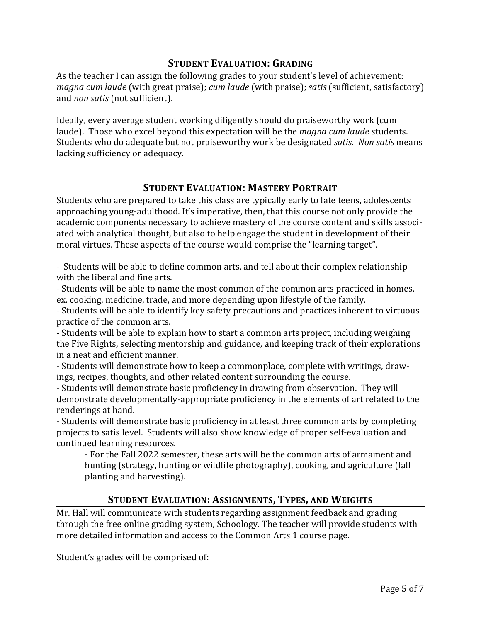# **STUDENT EVALUATION: GRADING**

As the teacher I can assign the following grades to your student's level of achievement: *magna cum laude* (with great praise); *cum laude* (with praise); *satis* (sufficient, satisfactory) and *non satis* (not sufficient).

Ideally, every average student working diligently should do praiseworthy work (cum laude). Those who excel beyond this expectation will be the *magna cum laude* students. Students who do adequate but not praiseworthy work be designated *satis*. *Non satis* means lacking sufficiency or adequacy.

# **STUDENT EVALUATION: MASTERY PORTRAIT**

Students who are prepared to take this class are typically early to late teens, adolescents approaching young-adulthood. It's imperative, then, that this course not only provide the academic components necessary to achieve mastery of the course content and skills associated with analytical thought, but also to help engage the student in development of their moral virtues. These aspects of the course would comprise the "learning target".

- Students will be able to define common arts, and tell about their complex relationship with the liberal and fine arts.

- Students will be able to name the most common of the common arts practiced in homes, ex. cooking, medicine, trade, and more depending upon lifestyle of the family.

- Students will be able to identify key safety precautions and practices inherent to virtuous practice of the common arts.

- Students will be able to explain how to start a common arts project, including weighing the Five Rights, selecting mentorship and guidance, and keeping track of their explorations in a neat and efficient manner.

- Students will demonstrate how to keep a commonplace, complete with writings, drawings, recipes, thoughts, and other related content surrounding the course.

- Students will demonstrate basic proficiency in drawing from observation. They will demonstrate developmentally-appropriate proficiency in the elements of art related to the renderings at hand.

- Students will demonstrate basic proficiency in at least three common arts by completing projects to satis level. Students will also show knowledge of proper self-evaluation and continued learning resources.

- For the Fall 2022 semester, these arts will be the common arts of armament and hunting (strategy, hunting or wildlife photography), cooking, and agriculture (fall planting and harvesting).

# **STUDENT EVALUATION: ASSIGNMENTS, TYPES, AND WEIGHTS**

Mr. Hall will communicate with students regarding assignment feedback and grading through the free online grading system, Schoology. The teacher will provide students with more detailed information and access to the Common Arts 1 course page.

Student's grades will be comprised of: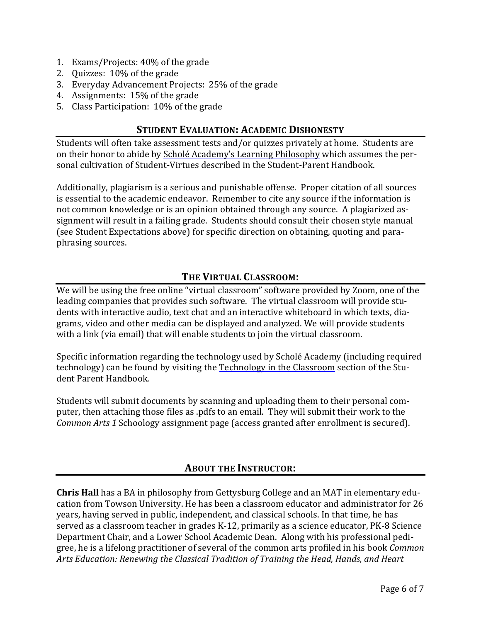- 1. Exams/Projects: 40% of the grade
- 2. Quizzes: 10% of the grade
- 3. Everyday Advancement Projects: 25% of the grade
- 4. Assignments: 15% of the grade
- 5. Class Participation: 10% of the grade

## **STUDENT EVALUATION: ACADEMIC DISHONESTY**

Students will often take assessment tests and/or quizzes privately at home. Students are on their honor to abide by Scholé Academy's Learning [Philosophy](http://www.scholeacademy.com/student-parent-handbook/) which assumes the personal cultivation of Student-Virtues described in the Student-Parent Handbook.

Additionally, plagiarism is a serious and punishable offense. Proper citation of all sources is essential to the academic endeavor. Remember to cite any source if the information is not common knowledge or is an opinion obtained through any source. A plagiarized assignment will result in a failing grade. Students should consult their chosen style manual (see Student Expectations above) for specific direction on obtaining, quoting and paraphrasing sources.

## **THE VIRTUAL CLASSROOM:**

We will be using the free online "virtual classroom" software provided by Zoom, one of the leading companies that provides such software. The virtual classroom will provide students with interactive audio, text chat and an interactive whiteboard in which texts, diagrams, video and other media can be displayed and analyzed. We will provide students with a link (via email) that will enable students to join the virtual classroom.

Specific information regarding the technology used by Scholé Academy (including required technology) can be found by visiting the [Technology](http://www.scholeacademy.com/student-parent-handbook/) in the Classroom section of the Student Parent Handbook.

Students will submit documents by scanning and uploading them to their personal computer, then attaching those files as .pdfs to an email. They will submit their work to the *Common Arts 1* Schoology assignment page (access granted after enrollment is secured).

# **ABOUT THE INSTRUCTOR:**

**Chris Hall** has a BA in philosophy from Gettysburg College and an MAT in elementary education from Towson University. He has been a classroom educator and administrator for 26 years, having served in public, independent, and classical schools. In that time, he has served as a classroom teacher in grades K-12, primarily as a science educator, PK-8 Science Department Chair, and a Lower School Academic Dean. Along with his professional pedigree, he is a lifelong practitioner of several of the common arts profiled in his book *Common Arts Education: Renewing the Classical Tradition of Training the Head, Hands, and Heart*